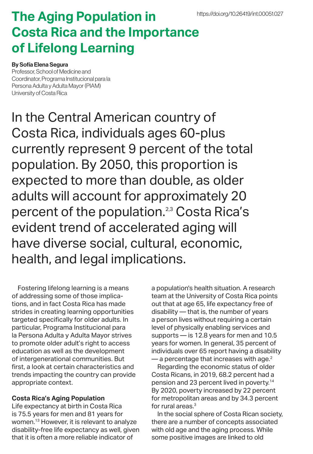## **The Aging Population in Costa Rica and the Importance of Lifelong Learning**

## By Sofía Elena Segura

Professor, School of Medicine and Coordinator, Programa Institucional para la Persona Adulta y Adulta Mayor (PIAM) University of Costa Rica

In the Central American country of Costa Rica, individuals ages 60-plus currently represent 9 percent of the total population. By 2050, this proportion is expected to more than double, as older adults will account for approximately 20 percent of the population.<sup>2,3</sup> Costa Rica's evident trend of accelerated aging will have diverse social, cultural, economic, health, and legal implications.

Fostering lifelong learning is a means of addressing some of those implications, and in fact Costa Rica has made strides in creating learning opportunities targeted specifically for older adults. In particular, Programa Institucional para la Persona Adulta y Adulta Mayor strives to promote older adult's right to access education as well as the development of intergenerational communities. But first, a look at certain characteristics and trends impacting the country can provide appropriate context.

## **Costa Rica's Aging Population**

Life expectancy at birth in Costa Rica is 75.5 years for men and 81 years for women.13 However, it is relevant to analyze disability-free life expectancy as well, given that it is often a more reliable indicator of

a population's health situation. A research team at the University of Costa Rica points out that at age 65, life expectancy free of disability — that is, the number of years a person lives without requiring a certain level of physically enabling services and supports — is 12.8 years for men and 10.5 years for women. In general, 35 percent of individuals over 65 report having a disability  $-$  a percentage that increases with age.<sup>2</sup>

Regarding the economic status of older Costa Ricans, in 2019, 68.2 percent had a pension and 23 percent lived in poverty.14 By 2020, poverty increased by 22 percent for metropolitan areas and by 34.3 percent for rural areas.3

In the social sphere of Costa Rican society, there are a number of concepts associated with old age and the aging process. While some positive images are linked to old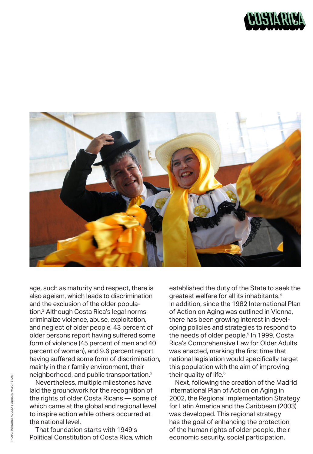



age, such as maturity and respect, there is also ageism, which leads to discrimination and the exclusion of the older population.2 Although Costa Rica's legal norms criminalize violence, abuse, exploitation, and neglect of older people, 43 percent of older persons report having suffered some form of violence (45 percent of men and 40 percent of women), and 9.6 percent report having suffered some form of discrimination, mainly in their family environment, their neighborhood, and public transportation.2

Nevertheless, multiple milestones have laid the groundwork for the recognition of the rights of older Costa Ricans — some of which came at the global and regional level to inspire action while others occurred at the national level.

That foundation starts with 1949's Political Constitution of Costa Rica, which established the duty of the State to seek the greatest welfare for all its inhabitants.4 In addition, since the 1982 International Plan of Action on Aging was outlined in Vienna, there has been growing interest in developing policies and strategies to respond to the needs of older people.<sup>5</sup> In 1999, Costa Rica's Comprehensive Law for Older Adults was enacted, marking the first time that national legislation would specifically target this population with the aim of improving their quality of life.<sup>6</sup>

Next, following the creation of the Madrid International Plan of Action on Aging in 2002, the Regional Implementation Strategy for Latin America and the Caribbean (2003) was developed. This regional strategy has the goal of enhancing the protection of the human rights of older people, their economic security, social participation,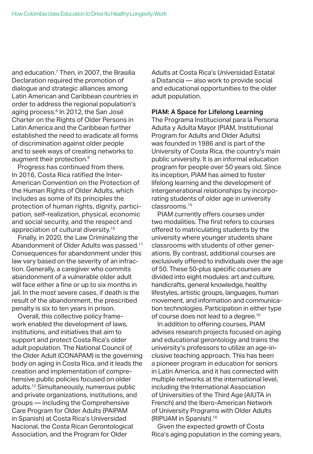and education.7 Then, in 2007, the Brasilia Declaration required the promotion of dialogue and strategic alliances among Latin American and Caribbean countries in order to address the regional population's aging process.<sup>8</sup> In 2012, the San José Charter on the Rights of Older Persons in Latin America and the Caribbean further established the need to eradicate all forms of discrimination against older people and to seek ways of creating networks to augment their protection.<sup>9</sup>

Progress has continued from there. In 2016, Costa Rica ratified the Inter-American Convention on the Protection of the Human Rights of Older Adults, which includes as some of its principles the protection of human rights, dignity, participation, self-realization, physical, economic and social security, and the respect and appreciation of cultural diversity.10

Finally, in 2020, the Law Criminalizing the Abandonment of Older Adults was passed.<sup>11</sup> Consequences for abandonment under this law vary based on the severity of an infraction. Generally, a caregiver who commits abandonment of a vulnerable older adult will face either a fine or up to six months in jail. In the most severe cases, if death is the result of the abandonment, the prescribed penalty is six to ten years in prison.

Overall, this collective policy framework enabled the development of laws, institutions, and initiatives that aim to support and protect Costa Rica's older adult population. The National Council of the Older Adult (CONAPAM) is the governing body on aging in Costa Rica, and it leads the creation and implementation of comprehensive public policies focused on older adults.12 Simultaneously, numerous public and private organizations, institutions, and groups — including the Comprehensive Care Program for Older Adults (PAIPAM in Spanish) at Costa Rica's Universidad Nacional, the Costa Rican Gerontological Association, and the Program for Older

Adults at Costa Rica's Universidad Estatal a Distancia — also work to provide social and educational opportunities to the older adult population.

## **PIAM: A Space for Lifelong Learning**

The Programa Institucional para la Persona Adulta y Adulta Mayor (PIAM, Institutional Program for Adults and Older Adults) was founded in 1986 and is part of the University of Costa Rica, the country's main public university. It is an informal education program for people over 50 years old. Since its inception, PIAM has aimed to foster lifelong learning and the development of intergenerational relationships by incorporating students of older age in university classrooms.15

PIAM currently offers courses under two modalities. The first refers to courses offered to matriculating students by the university where younger students share classrooms with students of other generations. By contrast, additional courses are exclusively offered to individuals over the age of 50. These 50-plus specific courses are divided into eight modules: art and culture, handicrafts, general knowledge, healthy lifestyles, artistic groups, languages, human movement, and information and communication technologies. Participation in either type of course does not lead to a degree.<sup>16</sup>

In addition to offering courses, PIAM advises research projects focused on aging and educational gerontology and trains the university's professors to utilize an age-inclusive teaching approach. This has been a pioneer program in education for seniors in Latin America, and it has connected with multiple networks at the international level, including the International Association of Universities of the Third Age (AIUTA in French) and the Ibero-American Network of University Programs with Older Adults (RIPUAM in Spanish).<sup>16</sup>

Given the expected growth of Costa Rica's aging population in the coming years,